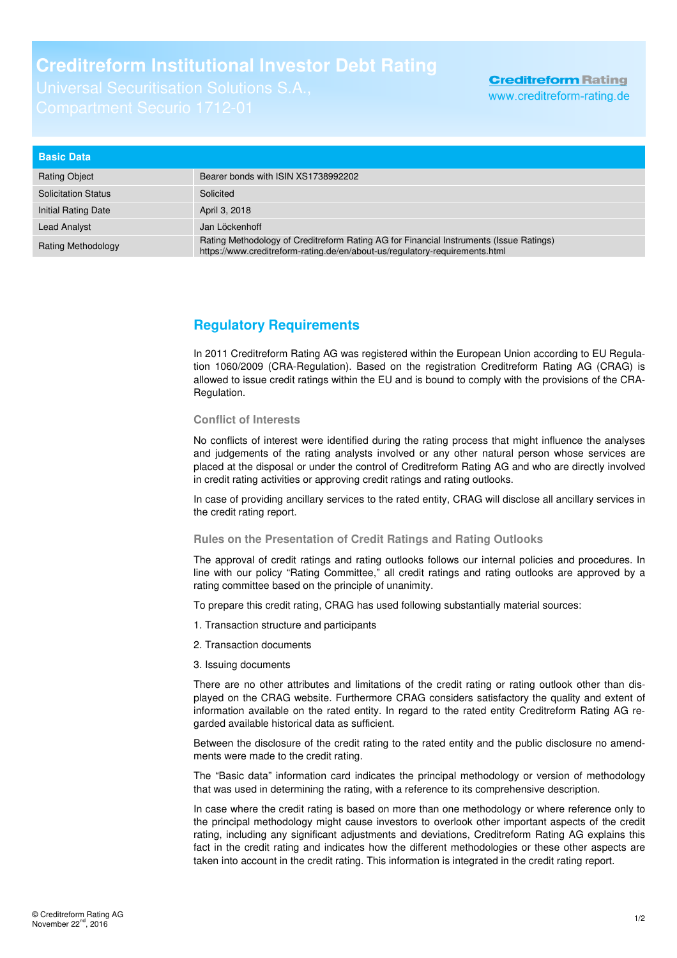## **Creditreform Institutional Investor Debt Rating**

| <b>Basic Data</b>          |                                                                                                                                                                       |
|----------------------------|-----------------------------------------------------------------------------------------------------------------------------------------------------------------------|
| <b>Rating Object</b>       | Bearer bonds with ISIN XS1738992202                                                                                                                                   |
| <b>Solicitation Status</b> | Solicited                                                                                                                                                             |
| Initial Rating Date        | April 3, 2018                                                                                                                                                         |
| <b>Lead Analyst</b>        | Jan Löckenhoff                                                                                                                                                        |
| <b>Rating Methodology</b>  | Rating Methodology of Creditreform Rating AG for Financial Instruments (Issue Ratings)<br>https://www.creditreform-rating.de/en/about-us/regulatory-requirements.html |

## **Regulatory Requirements**

In 2011 Creditreform Rating AG was registered within the European Union according to EU Regulation 1060/2009 (CRA-Regulation). Based on the registration Creditreform Rating AG (CRAG) is allowed to issue credit ratings within the EU and is bound to comply with the provisions of the CRA-Regulation.

## **Conflict of Interests**

No conflicts of interest were identified during the rating process that might influence the analyses and judgements of the rating analysts involved or any other natural person whose services are placed at the disposal or under the control of Creditreform Rating AG and who are directly involved in credit rating activities or approving credit ratings and rating outlooks.

In case of providing ancillary services to the rated entity, CRAG will disclose all ancillary services in the credit rating report.

## **Rules on the Presentation of Credit Ratings and Rating Outlooks**

The approval of credit ratings and rating outlooks follows our internal policies and procedures. In line with our policy "Rating Committee," all credit ratings and rating outlooks are approved by a rating committee based on the principle of unanimity.

To prepare this credit rating, CRAG has used following substantially material sources:

- 1. Transaction structure and participants
- 2. Transaction documents
- 3. Issuing documents

There are no other attributes and limitations of the credit rating or rating outlook other than displayed on the CRAG website. Furthermore CRAG considers satisfactory the quality and extent of information available on the rated entity. In regard to the rated entity Creditreform Rating AG regarded available historical data as sufficient.

Between the disclosure of the credit rating to the rated entity and the public disclosure no amendments were made to the credit rating.

The "Basic data" information card indicates the principal methodology or version of methodology that was used in determining the rating, with a reference to its comprehensive description.

In case where the credit rating is based on more than one methodology or where reference only to the principal methodology might cause investors to overlook other important aspects of the credit rating, including any significant adjustments and deviations, Creditreform Rating AG explains this fact in the credit rating and indicates how the different methodologies or these other aspects are taken into account in the credit rating. This information is integrated in the credit rating report.